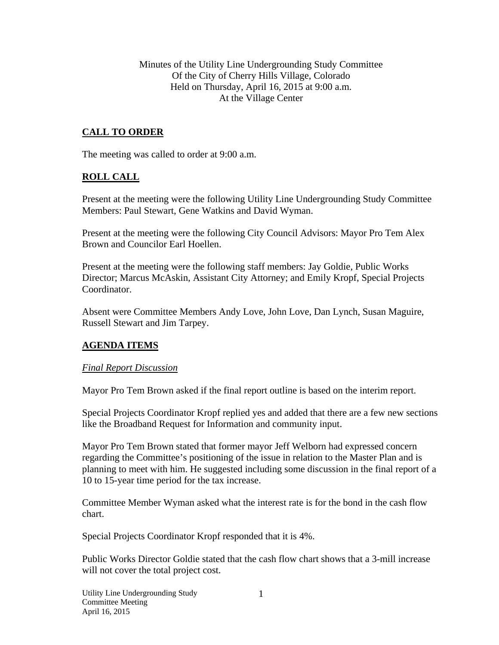Minutes of the Utility Line Undergrounding Study Committee Of the City of Cherry Hills Village, Colorado Held on Thursday, April 16, 2015 at 9:00 a.m. At the Village Center

## **CALL TO ORDER**

The meeting was called to order at 9:00 a.m.

## **ROLL CALL**

Present at the meeting were the following Utility Line Undergrounding Study Committee Members: Paul Stewart, Gene Watkins and David Wyman.

Present at the meeting were the following City Council Advisors: Mayor Pro Tem Alex Brown and Councilor Earl Hoellen.

Present at the meeting were the following staff members: Jay Goldie, Public Works Director; Marcus McAskin, Assistant City Attorney; and Emily Kropf, Special Projects Coordinator.

Absent were Committee Members Andy Love, John Love, Dan Lynch, Susan Maguire, Russell Stewart and Jim Tarpey.

## **AGENDA ITEMS**

#### *Final Report Discussion*

Mayor Pro Tem Brown asked if the final report outline is based on the interim report.

Special Projects Coordinator Kropf replied yes and added that there are a few new sections like the Broadband Request for Information and community input.

Mayor Pro Tem Brown stated that former mayor Jeff Welborn had expressed concern regarding the Committee's positioning of the issue in relation to the Master Plan and is planning to meet with him. He suggested including some discussion in the final report of a 10 to 15-year time period for the tax increase.

Committee Member Wyman asked what the interest rate is for the bond in the cash flow chart.

Special Projects Coordinator Kropf responded that it is 4%.

Public Works Director Goldie stated that the cash flow chart shows that a 3-mill increase will not cover the total project cost.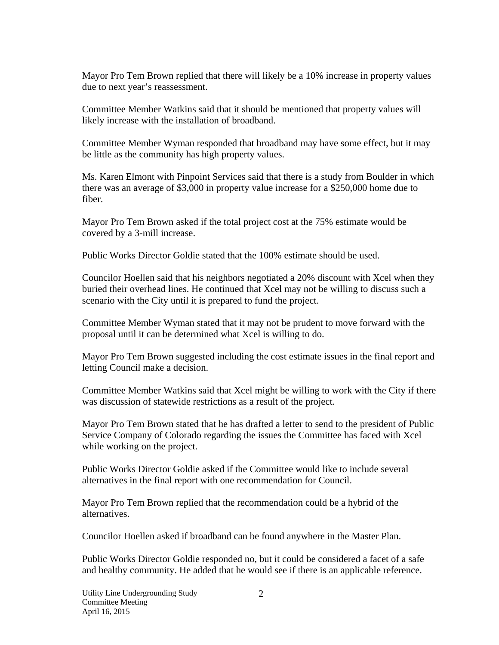Mayor Pro Tem Brown replied that there will likely be a 10% increase in property values due to next year's reassessment.

Committee Member Watkins said that it should be mentioned that property values will likely increase with the installation of broadband.

Committee Member Wyman responded that broadband may have some effect, but it may be little as the community has high property values.

Ms. Karen Elmont with Pinpoint Services said that there is a study from Boulder in which there was an average of \$3,000 in property value increase for a \$250,000 home due to fiber.

Mayor Pro Tem Brown asked if the total project cost at the 75% estimate would be covered by a 3-mill increase.

Public Works Director Goldie stated that the 100% estimate should be used.

Councilor Hoellen said that his neighbors negotiated a 20% discount with Xcel when they buried their overhead lines. He continued that Xcel may not be willing to discuss such a scenario with the City until it is prepared to fund the project.

Committee Member Wyman stated that it may not be prudent to move forward with the proposal until it can be determined what Xcel is willing to do.

Mayor Pro Tem Brown suggested including the cost estimate issues in the final report and letting Council make a decision.

Committee Member Watkins said that Xcel might be willing to work with the City if there was discussion of statewide restrictions as a result of the project.

Mayor Pro Tem Brown stated that he has drafted a letter to send to the president of Public Service Company of Colorado regarding the issues the Committee has faced with Xcel while working on the project.

Public Works Director Goldie asked if the Committee would like to include several alternatives in the final report with one recommendation for Council.

Mayor Pro Tem Brown replied that the recommendation could be a hybrid of the alternatives.

Councilor Hoellen asked if broadband can be found anywhere in the Master Plan.

Public Works Director Goldie responded no, but it could be considered a facet of a safe and healthy community. He added that he would see if there is an applicable reference.